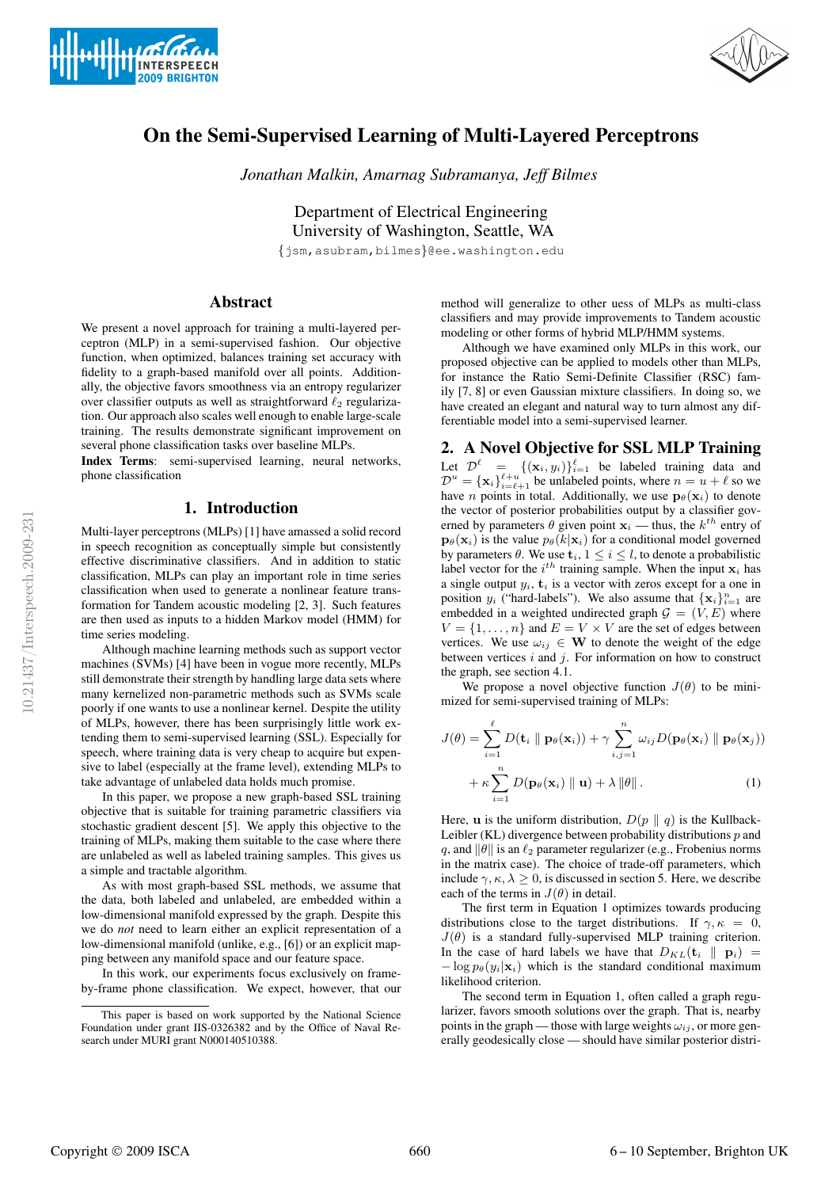



# On the Semi-Supervised Learning of Multi-Layered Perceptrons

*Jonathan Malkin, Amarnag Subramanya, Jeff Bilmes*

Department of Electrical Engineering University of Washington, Seattle, WA {jsm,asubram,bilmes}@ee.washington.edu

## Abstract

We present a novel approach for training a multi-layered perceptron (MLP) in a semi-supervised fashion. Our objective function, when optimized, balances training set accuracy with fidelity to a graph-based manifold over all points. Additionally, the objective favors smoothness via an entropy regularizer over classifier outputs as well as straightforward  $\ell_2$  regularization. Our approach also scales well enough to enable large-scale training. The results demonstrate significant improvement on several phone classification tasks over baseline MLPs.

Index Terms: semi-supervised learning, neural networks, phone classification

## 1. Introduction

Multi-layer perceptrons (MLPs) [1] have amassed a solid record in speech recognition as conceptually simple but consistently effective discriminative classifiers. And in addition to static classification, MLPs can play an important role in time series classification when used to generate a nonlinear feature transformation for Tandem acoustic modeling [2, 3]. Such features are then used as inputs to a hidden Markov model (HMM) for time series modeling.

Although machine learning methods such as support vector machines (SVMs) [4] have been in vogue more recently, MLPs still demonstrate their strength by handling large data sets where many kernelized non-parametric methods such as SVMs scale poorly if one wants to use a nonlinear kernel. Despite the utility of MLPs, however, there has been surprisingly little work extending them to semi-supervised learning (SSL). Especially for speech, where training data is very cheap to acquire but expensive to label (especially at the frame level), extending MLPs to take advantage of unlabeled data holds much promise.

In this paper, we propose a new graph-based SSL training objective that is suitable for training parametric classifiers via stochastic gradient descent [5]. We apply this objective to the training of MLPs, making them suitable to the case where there are unlabeled as well as labeled training samples. This gives us a simple and tractable algorithm.

As with most graph-based SSL methods, we assume that the data, both labeled and unlabeled, are embedded within a low-dimensional manifold expressed by the graph. Despite this we do *not* need to learn either an explicit representation of a low-dimensional manifold (unlike, e.g., [6]) or an explicit mapping between any manifold space and our feature space.

In this work, our experiments focus exclusively on frameby-frame phone classification. We expect, however, that our method will generalize to other uess of MLPs as multi-class classifiers and may provide improvements to Tandem acoustic modeling or other forms of hybrid MLP/HMM systems.

Although we have examined only MLPs in this work, our proposed objective can be applied to models other than MLPs, for instance the Ratio Semi-Definite Classifier (RSC) family [7, 8] or even Gaussian mixture classifiers. In doing so, we have created an elegant and natural way to turn almost any differentiable model into a semi-supervised learner.

## 2. A Novel Objective for SSL MLP Training

Let  $\mathcal{D}^{\ell} = \{(\mathbf{x}_i, y_i)\}_{i=1}^{\ell}$  be labeled training data and  $\mathcal{D}^u = {\mathbf{x}_i}_{i=\ell+1}^{\ell+u}$  be unlabeled points, where  $n = u + \ell$  so we have *n* points in total. Additionally, we use  $\mathbf{p}_{\theta}(\mathbf{x}_i)$  to denote the vector of posterior probabilities output by a classifier governed by parameters  $\theta$  given point  $x_i$  — thus, the  $k^{th}$  entry of  $\mathbf{p}_{\theta}(\mathbf{x}_i)$  is the value  $p_{\theta}(k|\mathbf{x}_i)$  for a conditional model governed by parameters  $\theta$ . We use  $\mathbf{t}_i$ ,  $1 \leq i \leq l$ , to denote a probabilistic label vector for the  $i^{th}$  training sample. When the input  $x_i$  has a single output  $y_i$ ,  $t_i$  is a vector with zeros except for a one in position  $y_i$  ("hard-labels"). We also assume that  $\{x_i\}_{i=1}^n$  are embedded in a weighted undirected graph  $G = (V, E)$  where  $V = \{1, \ldots, n\}$  and  $E = V \times V$  are the set of edges between vertices. We use  $\omega_{ij} \in \mathbf{W}$  to denote the weight of the edge between vertices  $i$  and  $j$ . For information on how to construct the graph, see section 4.1.

We propose a novel objective function  $J(\theta)$  to be minimized for semi-supervised training of MLPs:

$$
J(\theta) = \sum_{i=1}^{\ell} D(\mathbf{t}_i \parallel \mathbf{p}_{\theta}(\mathbf{x}_i)) + \gamma \sum_{i,j=1}^{n} \omega_{ij} D(\mathbf{p}_{\theta}(\mathbf{x}_i) \parallel \mathbf{p}_{\theta}(\mathbf{x}_j))
$$

$$
+ \kappa \sum_{i=1}^{n} D(\mathbf{p}_{\theta}(\mathbf{x}_i) \parallel \mathbf{u}) + \lambda \|\theta\|.
$$
 (1)

Here, **u** is the uniform distribution,  $D(p || q)$  is the Kullback-Leibler (KL) divergence between probability distributions  $p$  and q, and  $\|\theta\|$  is an  $\ell_2$  parameter regularizer (e.g., Frobenius norms in the matrix case). The choice of trade-off parameters, which include  $\gamma$ ,  $\kappa$ ,  $\lambda > 0$ , is discussed in section 5. Here, we describe each of the terms in  $J(\theta)$  in detail.

The first term in Equation 1 optimizes towards producing distributions close to the target distributions. If  $\gamma, \kappa = 0$ ,  $J(\theta)$  is a standard fully-supervised MLP training criterion. In the case of hard labels we have that  $D_{KL}(\mathbf{t}_i \parallel \mathbf{p}_i)$  =  $-\log p_{\theta}(y_i|\mathbf{x}_i)$  which is the standard conditional maximum likelihood criterion.

The second term in Equation 1, often called a graph regularizer, favors smooth solutions over the graph. That is, nearby points in the graph — those with large weights  $\omega_{ij}$ , or more generally geodesically close — should have similar posterior distri-

This paper is based on work supported by the National Science Foundation under grant IIS-0326382 and by the Office of Naval Research under MURI grant N000140510388.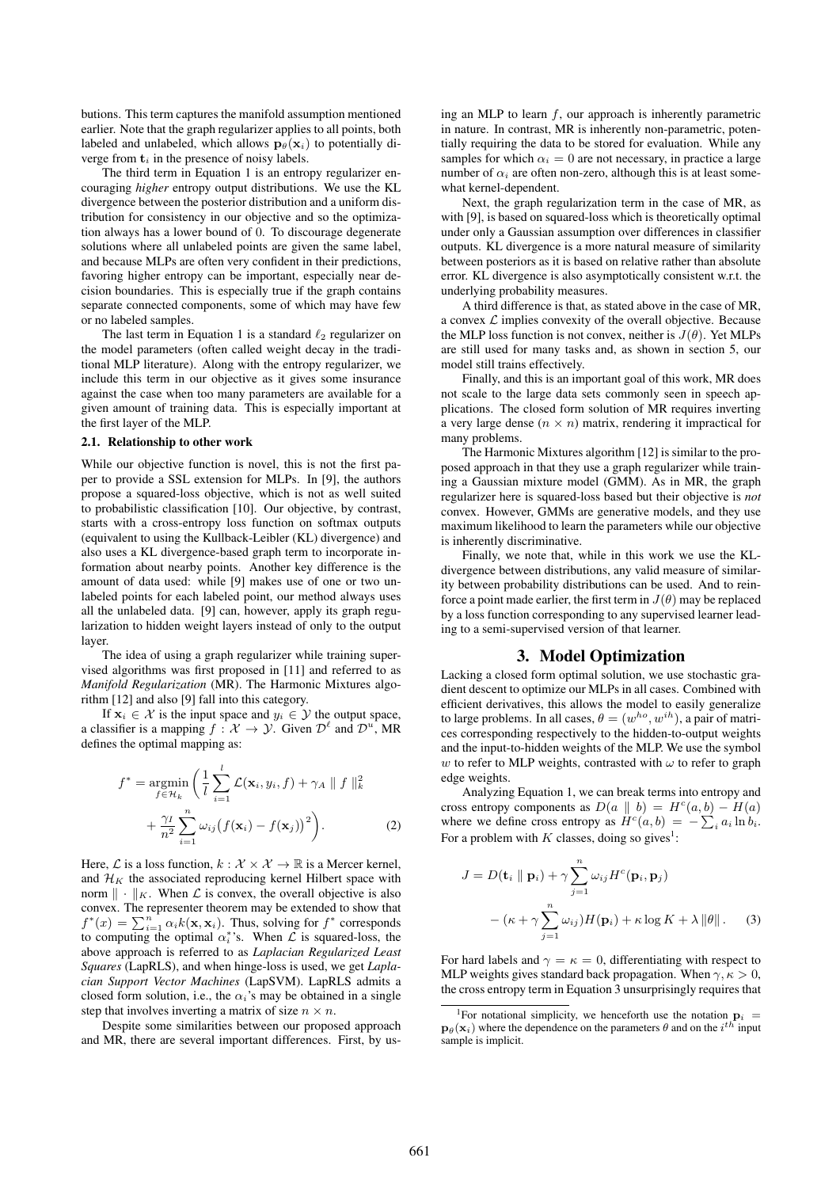butions. This term captures the manifold assumption mentioned earlier. Note that the graph regularizer applies to all points, both labeled and unlabeled, which allows  $\mathbf{p}_{\theta}(\mathbf{x}_i)$  to potentially diverge from  $t_i$  in the presence of noisy labels.

The third term in Equation 1 is an entropy regularizer encouraging *higher* entropy output distributions. We use the KL divergence between the posterior distribution and a uniform distribution for consistency in our objective and so the optimization always has a lower bound of 0. To discourage degenerate solutions where all unlabeled points are given the same label, and because MLPs are often very confident in their predictions, favoring higher entropy can be important, especially near decision boundaries. This is especially true if the graph contains separate connected components, some of which may have few or no labeled samples.

The last term in Equation 1 is a standard  $\ell_2$  regularizer on the model parameters (often called weight decay in the traditional MLP literature). Along with the entropy regularizer, we include this term in our objective as it gives some insurance against the case when too many parameters are available for a given amount of training data. This is especially important at the first layer of the MLP.

#### 2.1. Relationship to other work

While our objective function is novel, this is not the first paper to provide a SSL extension for MLPs. In [9], the authors propose a squared-loss objective, which is not as well suited to probabilistic classification [10]. Our objective, by contrast, starts with a cross-entropy loss function on softmax outputs (equivalent to using the Kullback-Leibler (KL) divergence) and also uses a KL divergence-based graph term to incorporate information about nearby points. Another key difference is the amount of data used: while [9] makes use of one or two unlabeled points for each labeled point, our method always uses all the unlabeled data. [9] can, however, apply its graph regularization to hidden weight layers instead of only to the output layer.

The idea of using a graph regularizer while training supervised algorithms was first proposed in [11] and referred to as *Manifold Regularization* (MR). The Harmonic Mixtures algorithm [12] and also [9] fall into this category.

If  $x_i \in \mathcal{X}$  is the input space and  $y_i \in \mathcal{Y}$  the output space, a classifier is a mapping  $f : \mathcal{X} \to \mathcal{Y}$ . Given  $\mathcal{D}^{\ell}$  and  $\mathcal{D}^{u}$ , MR defines the optimal mapping as:

$$
f^* = \underset{f \in \mathcal{H}_k}{\operatorname{argmin}} \left( \frac{1}{l} \sum_{i=1}^l \mathcal{L}(\mathbf{x}_i, y_i, f) + \gamma_A \parallel f \parallel_k^2 + \frac{\gamma_I}{n^2} \sum_{i=1}^n \omega_{ij} (f(\mathbf{x}_i) - f(\mathbf{x}_j))^2 \right).
$$
 (2)

Here,  ${\mathcal L}$  is a loss function,  $k: {\mathcal X} \times {\mathcal X} \to \mathbb{R}$  is a Mercer kernel, and  $\mathcal{H}_K$  the associated reproducing kernel Hilbert space with norm  $\| \cdot \|_K$ . When  $\mathcal L$  is convex, the overall objective is also convex. The representer theorem may be extended to show that  $f^*(x) = \sum_{i=1}^n \alpha_i k(\mathbf{x}, \mathbf{x}_i)$ . Thus, solving for  $f^*$  corresponds to computing the optimal  $\alpha_i^*$ 's. When  $\mathcal L$  is squared-loss, the above approach is referred to as *Laplacian Regularized Least Squares* (LapRLS), and when hinge-loss is used, we get *Laplacian Support Vector Machines* (LapSVM). LapRLS admits a closed form solution, i.e., the  $\alpha_i$ 's may be obtained in a single step that involves inverting a matrix of size  $n \times n$ .

Despite some similarities between our proposed approach and MR, there are several important differences. First, by using an MLP to learn  $f$ , our approach is inherently parametric in nature. In contrast, MR is inherently non-parametric, potentially requiring the data to be stored for evaluation. While any samples for which  $\alpha_i = 0$  are not necessary, in practice a large number of  $\alpha_i$  are often non-zero, although this is at least somewhat kernel-dependent.

Next, the graph regularization term in the case of MR, as with [9], is based on squared-loss which is theoretically optimal under only a Gaussian assumption over differences in classifier outputs. KL divergence is a more natural measure of similarity between posteriors as it is based on relative rather than absolute error. KL divergence is also asymptotically consistent w.r.t. the underlying probability measures.

A third difference is that, as stated above in the case of MR, a convex  $\mathcal L$  implies convexity of the overall objective. Because the MLP loss function is not convex, neither is  $J(\theta)$ . Yet MLPs are still used for many tasks and, as shown in section 5, our model still trains effectively.

Finally, and this is an important goal of this work, MR does not scale to the large data sets commonly seen in speech applications. The closed form solution of MR requires inverting a very large dense  $(n \times n)$  matrix, rendering it impractical for many problems.

The Harmonic Mixtures algorithm [12] is similar to the proposed approach in that they use a graph regularizer while training a Gaussian mixture model (GMM). As in MR, the graph regularizer here is squared-loss based but their objective is *not* convex. However, GMMs are generative models, and they use maximum likelihood to learn the parameters while our objective is inherently discriminative.

Finally, we note that, while in this work we use the KLdivergence between distributions, any valid measure of similarity between probability distributions can be used. And to reinforce a point made earlier, the first term in  $J(\theta)$  may be replaced by a loss function corresponding to any supervised learner leading to a semi-supervised version of that learner.

### 3. Model Optimization

Lacking a closed form optimal solution, we use stochastic gradient descent to optimize our MLPs in all cases. Combined with efficient derivatives, this allows the model to easily generalize to large problems. In all cases,  $\theta = (w^{ho}, w^{ih})$ , a pair of matrices corresponding respectively to the hidden-to-output weights and the input-to-hidden weights of the MLP. We use the symbol w to refer to MLP weights, contrasted with  $\omega$  to refer to graph edge weights.

Analyzing Equation 1, we can break terms into entropy and cross entropy components as  $D(a || b) = H<sup>c</sup>(a, b) - H(a)$ where we define cross entropy as  $H^c(a, b) = -\sum_i a_i \ln b_i$ . For a problem with  $K$  classes, doing so gives<sup>1</sup>:

$$
J = D(\mathbf{t}_i \parallel \mathbf{p}_i) + \gamma \sum_{j=1}^n \omega_{ij} H^c(\mathbf{p}_i, \mathbf{p}_j)
$$

$$
- (\kappa + \gamma \sum_{j=1}^n \omega_{ij}) H(\mathbf{p}_i) + \kappa \log K + \lambda ||\theta||. \quad (3)
$$

For hard labels and  $\gamma = \kappa = 0$ , differentiating with respect to MLP weights gives standard back propagation. When  $\gamma, \kappa > 0$ , the cross entropy term in Equation 3 unsurprisingly requires that

<sup>&</sup>lt;sup>1</sup>For notational simplicity, we henceforth use the notation  $p_i$  =  $\mathbf{p}_{\theta}(\mathbf{x}_i)$  where the dependence on the parameters  $\theta$  and on the  $i^{th}$  input sample is implicit.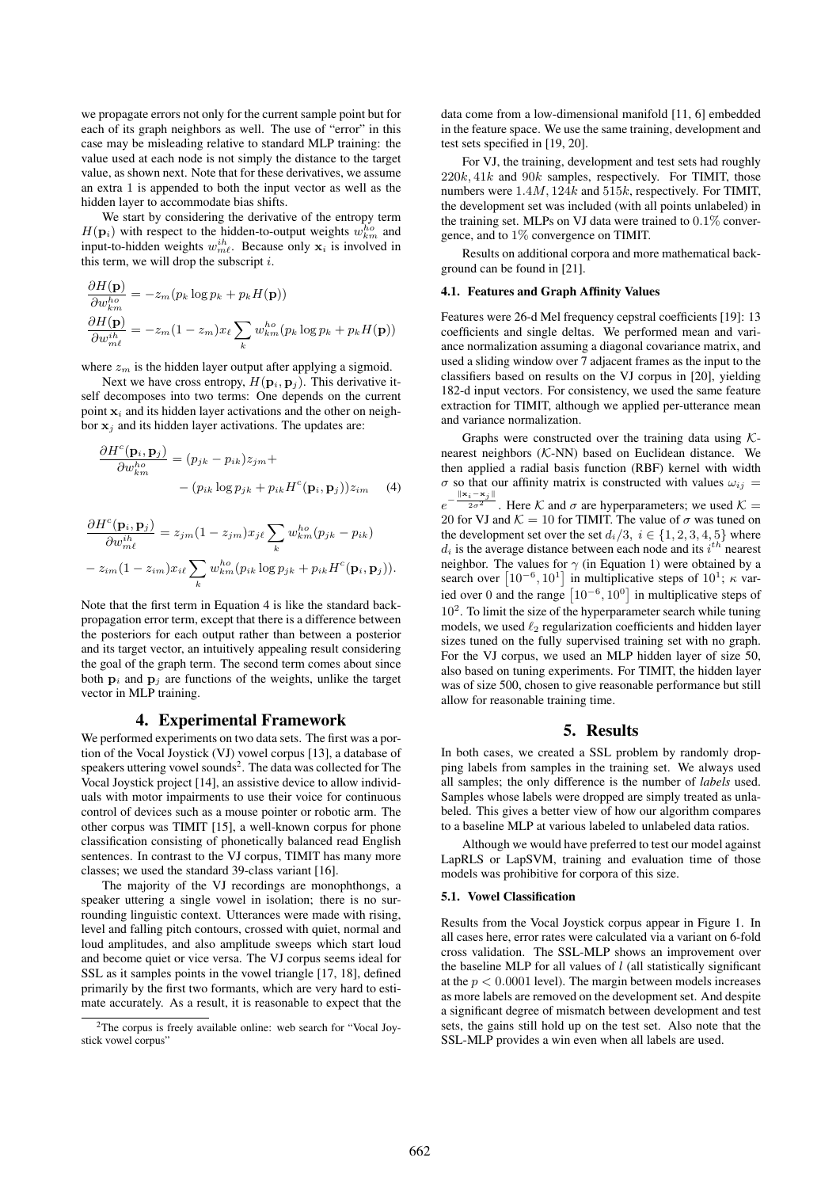we propagate errors not only for the current sample point but for each of its graph neighbors as well. The use of "error" in this case may be misleading relative to standard MLP training: the value used at each node is not simply the distance to the target value, as shown next. Note that for these derivatives, we assume an extra 1 is appended to both the input vector as well as the hidden layer to accommodate bias shifts.

We start by considering the derivative of the entropy term  $H(\mathbf{p}_i)$  with respect to the hidden-to-output weights  $w_{km}^{ho}$  and input-to-hidden weights  $w_{m\ell}^{ih}$ . Because only  $x_i$  is involved in this term, we will drop the subscript  $i$ .

$$
\frac{\partial H(\mathbf{p})}{\partial w_{km}^{ho}} = -z_m(p_k \log p_k + p_k H(\mathbf{p}))
$$

$$
\frac{\partial H(\mathbf{p})}{\partial w_{mk}^{ih}} = -z_m(1 - z_m)x_\ell \sum_k w_{km}^{ho}(p_k \log p_k + p_k H(\mathbf{p}))
$$

where  $z_m$  is the hidden layer output after applying a sigmoid.

Next we have cross entropy,  $H(\mathbf{p}_i, \mathbf{p}_j)$ . This derivative itself decomposes into two terms: One depends on the current point  $x_i$  and its hidden layer activations and the other on neighbor  $x_i$  and its hidden layer activations. The updates are:

$$
\frac{\partial H^c(\mathbf{p}_i, \mathbf{p}_j)}{\partial w_{km}^{ho}} = (p_{jk} - p_{ik})z_{jm} +
$$

$$
- (p_{ik} \log p_{jk} + p_{ik} H^c(\mathbf{p}_i, \mathbf{p}_j))z_{im} \quad (4)
$$

$$
\frac{\partial H^c(\mathbf{p}_i, \mathbf{p}_j)}{\partial w_{m\ell}^{ih}} = z_{jm} (1 - z_{jm}) x_{j\ell} \sum_k w_{km}^{ho}(p_{jk} - p_{ik})
$$

$$
- z_{im} (1 - z_{im}) x_{i\ell} \sum_k w_{km}^{ho}(p_{ik} \log p_{jk} + p_{ik} H^c(\mathbf{p}_i, \mathbf{p}_j)).
$$

Note that the first term in Equation 4 is like the standard backpropagation error term, except that there is a difference between the posteriors for each output rather than between a posterior and its target vector, an intuitively appealing result considering the goal of the graph term. The second term comes about since both  $\mathbf{p}_i$  and  $\mathbf{p}_j$  are functions of the weights, unlike the target vector in MLP training.

#### 4. Experimental Framework

We performed experiments on two data sets. The first was a portion of the Vocal Joystick (VJ) vowel corpus [13], a database of speakers uttering vowel sounds<sup>2</sup>. The data was collected for The Vocal Joystick project [14], an assistive device to allow individuals with motor impairments to use their voice for continuous control of devices such as a mouse pointer or robotic arm. The other corpus was TIMIT [15], a well-known corpus for phone classification consisting of phonetically balanced read English sentences. In contrast to the VJ corpus, TIMIT has many more classes; we used the standard 39-class variant [16].

The majority of the VJ recordings are monophthongs, a speaker uttering a single vowel in isolation; there is no surrounding linguistic context. Utterances were made with rising, level and falling pitch contours, crossed with quiet, normal and loud amplitudes, and also amplitude sweeps which start loud and become quiet or vice versa. The VJ corpus seems ideal for SSL as it samples points in the vowel triangle [17, 18], defined primarily by the first two formants, which are very hard to estimate accurately. As a result, it is reasonable to expect that the data come from a low-dimensional manifold [11, 6] embedded in the feature space. We use the same training, development and test sets specified in [19, 20].

For VJ, the training, development and test sets had roughly  $220k, 41k$  and  $90k$  samples, respectively. For TIMIT, those numbers were 1.4M, 124k and 515k, respectively. For TIMIT, the development set was included (with all points unlabeled) in the training set. MLPs on VJ data were trained to 0.1% convergence, and to 1% convergence on TIMIT.

Results on additional corpora and more mathematical background can be found in [21].

#### 4.1. Features and Graph Affinity Values

Features were 26-d Mel frequency cepstral coefficients [19]: 13 coefficients and single deltas. We performed mean and variance normalization assuming a diagonal covariance matrix, and used a sliding window over 7 adjacent frames as the input to the classifiers based on results on the VJ corpus in [20], yielding 182-d input vectors. For consistency, we used the same feature extraction for TIMIT, although we applied per-utterance mean and variance normalization.

Graphs were constructed over the training data using  $K$ nearest neighbors (K-NN) based on Euclidean distance. We then applied a radial basis function (RBF) kernel with width  $\sigma$  so that our affinity matrix is constructed with values  $\omega_{ij} =$  $e^{-}$  $-\frac{\|\mathbf{x}_i-\mathbf{x}_j\|}{2\sigma^2}$ . Here K and  $\sigma$  are hyperparameters; we used K = 20 for VJ and  $\mathcal{K} = 10$  for TIMIT. The value of  $\sigma$  was tuned on the development set over the set  $d_i/3$ ,  $i \in \{1, 2, 3, 4, 5\}$  where  $d_i$  is the average distance between each node and its  $i^{th}$  nearest neighbor. The values for  $\gamma$  (in Equation 1) were obtained by a search over  $\left[10^{-6}, 10^{1}\right]$  in multiplicative steps of  $10^{1}$ ;  $\kappa$  varied over 0 and the range  $[10^{-6}, 10^{0}]$  in multiplicative steps of 10<sup>2</sup>. To limit the size of the hyperparameter search while tuning models, we used  $\ell_2$  regularization coefficients and hidden layer sizes tuned on the fully supervised training set with no graph. For the VJ corpus, we used an MLP hidden layer of size 50, also based on tuning experiments. For TIMIT, the hidden layer was of size 500, chosen to give reasonable performance but still allow for reasonable training time.

#### 5. Results

In both cases, we created a SSL problem by randomly dropping labels from samples in the training set. We always used all samples; the only difference is the number of *labels* used. Samples whose labels were dropped are simply treated as unlabeled. This gives a better view of how our algorithm compares to a baseline MLP at various labeled to unlabeled data ratios.

Although we would have preferred to test our model against LapRLS or LapSVM, training and evaluation time of those models was prohibitive for corpora of this size.

#### 5.1. Vowel Classification

Results from the Vocal Joystick corpus appear in Figure 1. In all cases here, error rates were calculated via a variant on 6-fold cross validation. The SSL-MLP shows an improvement over the baseline MLP for all values of  $l$  (all statistically significant at the  $p < 0.0001$  level). The margin between models increases as more labels are removed on the development set. And despite a significant degree of mismatch between development and test sets, the gains still hold up on the test set. Also note that the SSL-MLP provides a win even when all labels are used.

<sup>2</sup>The corpus is freely available online: web search for "Vocal Joystick vowel corpus"